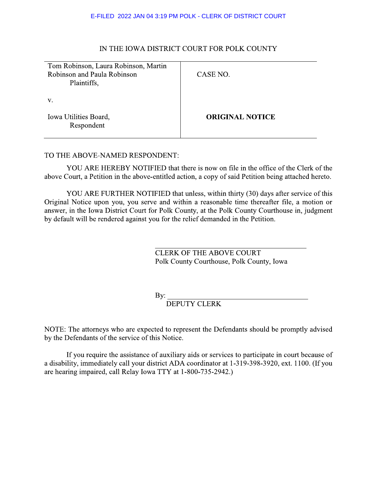#### E-FILED 2022 JAN 04 3:19 PM POLK - CLERK OF DISTRICT COURT

# IN THE IOWA DISTRICT COURT FOR POLK COUNTY

| Tom Robinson, Laura Robinson, Martin |                        |
|--------------------------------------|------------------------|
| Robinson and Paula Robinson          | CASE NO.               |
| Plaintiffs,                          |                        |
|                                      |                        |
| V.                                   |                        |
|                                      |                        |
| Iowa Utilities Board,                | <b>ORIGINAL NOTICE</b> |
| Respondent                           |                        |
|                                      |                        |

#### TO THE ABOVE-NAMED RESPONDENT:

YOU ARE HEREBY NOTIFIED that there is now on file in the office of the Clerk of the above Court, a Petition in the above-entitled action, a copy of said Petition being attached hereto.

YOU ARE FURTHER NOTIFIED that unless, within thirty (30) days after service of this Original Notice upon you, you serve and within a reasonable time thereafter file, a motion or answer, in the Iowa District Court for Polk County, at the Polk County Courthouse in, judgment by default will be rendered against you for the relief demanded in the Petition.

> **CLERK OF THE ABOVE COURT** Polk County Courthouse, Polk County, Iowa

By:  $\overline{\phantom{0}}$ 

**DEPUTY CLERK** 

NOTE: The attorneys who are expected to represent the Defendants should be promptly advised by the Defendants of the service of this Notice.

If you require the assistance of auxiliary aids or services to participate in court because of a disability, immediately call your district ADA coordinator at 1-319-398-3920, ext. 1100. (If you are hearing impaired, call Relay Iowa TTY at 1-800-735-2942.)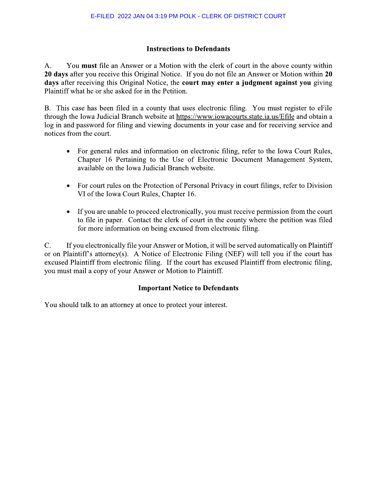# **Instructions to Defendants**

You must file an Answer or a Motion with the clerk of court in the above county within  $A<sub>1</sub>$ 20 days after you receive this Original Notice. If you do not file an Answer or Motion within 20 days after receiving this Original Notice, the court may enter a judgment against you giving Plaintiff what he or she asked for in the Petition.

B. This case has been filed in a county that uses electronic filing. You must register to eFile through the Iowa Judicial Branch website at https://www.iowacourts.state.ia.us/Efile and obtain a log in and password for filing and viewing documents in your case and for receiving service and notices from the court.

- For general rules and information on electronic filing, refer to the Iowa Court Rules, Chapter 16 Pertaining to the Use of Electronic Document Management System, available on the Iowa Judicial Branch website.
- For court rules on the Protection of Personal Privacy in court filings, refer to Division  $\bullet$ VI of the Iowa Court Rules, Chapter 16.
- If you are unable to proceed electronically, you must receive permission from the court  $\bullet$ to file in paper. Contact the clerk of court in the county where the petition was filed for more information on being excused from electronic filing.

If you electronically file your Answer or Motion, it will be served automatically on Plaintiff  $\mathbf{C}$ . or on Plaintiff's attorney(s). A Notice of Electronic Filing (NEF) will tell you if the court has excused Plaintiff from electronic filing. If the court has excused Plaintiff from electronic filing, you must mail a copy of your Answer or Motion to Plaintiff.

# **Important Notice to Defendants**

You should talk to an attorney at once to protect your interest.